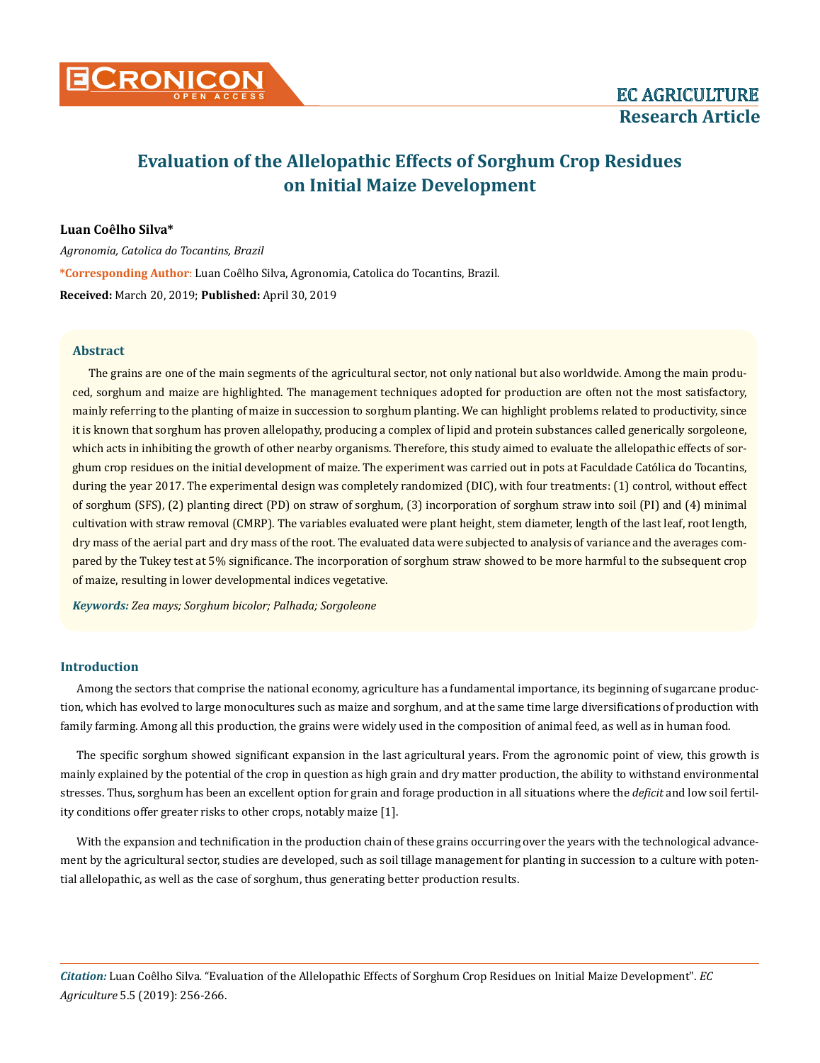

# **Evaluation of the Allelopathic Effects of Sorghum Crop Residues on Initial Maize Development**

# **Luan Coêlho Silva\***

*Agronomia, Catolica do Tocantins, Brazil* **\*Corresponding Author**: Luan Coêlho Silva, Agronomia, Catolica do Tocantins, Brazil. **Received:** March 20, 2019; **Published:** April 30, 2019

# **Abstract**

The grains are one of the main segments of the agricultural sector, not only national but also worldwide. Among the main produced, sorghum and maize are highlighted. The management techniques adopted for production are often not the most satisfactory, mainly referring to the planting of maize in succession to sorghum planting. We can highlight problems related to productivity, since it is known that sorghum has proven allelopathy, producing a complex of lipid and protein substances called generically sorgoleone, which acts in inhibiting the growth of other nearby organisms. Therefore, this study aimed to evaluate the allelopathic effects of sorghum crop residues on the initial development of maize. The experiment was carried out in pots at Faculdade Católica do Tocantins, during the year 2017. The experimental design was completely randomized (DIC), with four treatments: (1) control, without effect of sorghum (SFS), (2) planting direct (PD) on straw of sorghum, (3) incorporation of sorghum straw into soil (PI) and (4) minimal cultivation with straw removal (CMRP). The variables evaluated were plant height, stem diameter, length of the last leaf, root length, dry mass of the aerial part and dry mass of the root. The evaluated data were subjected to analysis of variance and the averages compared by the Tukey test at 5% significance. The incorporation of sorghum straw showed to be more harmful to the subsequent crop of maize, resulting in lower developmental indices vegetative.

*Keywords: Zea mays; Sorghum bicolor; Palhada; Sorgoleone*

## **Introduction**

Among the sectors that comprise the national economy, agriculture has a fundamental importance, its beginning of sugarcane production, which has evolved to large monocultures such as maize and sorghum, and at the same time large diversifications of production with family farming. Among all this production, the grains were widely used in the composition of animal feed, as well as in human food.

The specific sorghum showed significant expansion in the last agricultural years. From the agronomic point of view, this growth is mainly explained by the potential of the crop in question as high grain and dry matter production, the ability to withstand environmental stresses. Thus, sorghum has been an excellent option for grain and forage production in all situations where the *deficit* and low soil fertility conditions offer greater risks to other crops, notably maize [1].

With the expansion and technification in the production chain of these grains occurring over the years with the technological advancement by the agricultural sector, studies are developed, such as soil tillage management for planting in succession to a culture with potential allelopathic, as well as the case of sorghum, thus generating better production results.

*Citation:* Luan Coêlho Silva*.* "Evaluation of the Allelopathic Effects of Sorghum Crop Residues on Initial Maize Development". *EC Agriculture* 5.5 (2019): 256-266.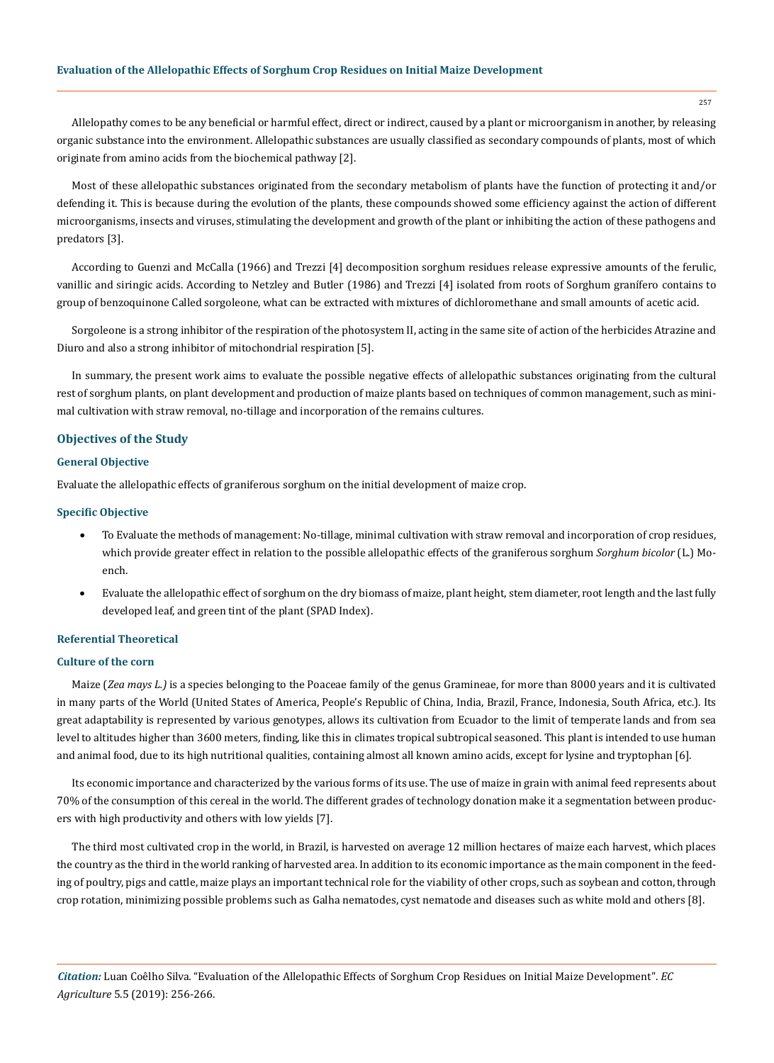Allelopathy comes to be any beneficial or harmful effect, direct or indirect, caused by a plant or microorganism in another, by releasing organic substance into the environment. Allelopathic substances are usually classified as secondary compounds of plants, most of which originate from amino acids from the biochemical pathway [2].

Most of these allelopathic substances originated from the secondary metabolism of plants have the function of protecting it and/or defending it. This is because during the evolution of the plants, these compounds showed some efficiency against the action of different microorganisms, insects and viruses, stimulating the development and growth of the plant or inhibiting the action of these pathogens and predators [3].

According to Guenzi and McCalla (1966) and Trezzi [4] decomposition sorghum residues release expressive amounts of the ferulic, vanillic and siringic acids. According to Netzley and Butler (1986) and Trezzi [4] isolated from roots of Sorghum granífero contains to group of benzoquinone Called sorgoleone, what can be extracted with mixtures of dichloromethane and small amounts of acetic acid.

Sorgoleone is a strong inhibitor of the respiration of the photosystem II, acting in the same site of action of the herbicides Atrazine and Diuro and also a strong inhibitor of mitochondrial respiration [5].

In summary, the present work aims to evaluate the possible negative effects of allelopathic substances originating from the cultural rest of sorghum plants, on plant development and production of maize plants based on techniques of common management, such as minimal cultivation with straw removal, no-tillage and incorporation of the remains cultures.

### **Objectives of the Study**

# **General Objective**

Evaluate the allelopathic effects of graniferous sorghum on the initial development of maize crop.

#### **Specific Objective**

- • To Evaluate the methods of management: No-tillage, minimal cultivation with straw removal and incorporation of crop residues, which provide greater effect in relation to the possible allelopathic effects of the graniferous sorghum *Sorghum bicolor* (L.) Moench.
- Evaluate the allelopathic effect of sorghum on the dry biomass of maize, plant height, stem diameter, root length and the last fully developed leaf, and green tint of the plant (SPAD Index).

## **Referential Theoretical**

# **Culture of the corn**

Maize (*Zea mays L.*) is a species belonging to the Poaceae family of the genus Gramineae, for more than 8000 years and it is cultivated in many parts of the World (United States of America, People's Republic of China, India, Brazil, France, Indonesia, South Africa, etc.). Its great adaptability is represented by various genotypes, allows its cultivation from Ecuador to the limit of temperate lands and from sea level to altitudes higher than 3600 meters, finding, like this in climates tropical subtropical seasoned. This plant is intended to use human and animal food, due to its high nutritional qualities, containing almost all known amino acids, except for lysine and tryptophan [6].

Its economic importance and characterized by the various forms of its use. The use of maize in grain with animal feed represents about 70% of the consumption of this cereal in the world. The different grades of technology donation make it a segmentation between producers with high productivity and others with low yields [7].

The third most cultivated crop in the world, in Brazil, is harvested on average 12 million hectares of maize each harvest, which places the country as the third in the world ranking of harvested area. In addition to its economic importance as the main component in the feeding of poultry, pigs and cattle, maize plays an important technical role for the viability of other crops, such as soybean and cotton, through crop rotation, minimizing possible problems such as Galha nematodes, cyst nematode and diseases such as white mold and others [8].

*Citation:* Luan Coêlho Silva*.* "Evaluation of the Allelopathic Effects of Sorghum Crop Residues on Initial Maize Development". *EC Agriculture* 5.5 (2019): 256-266.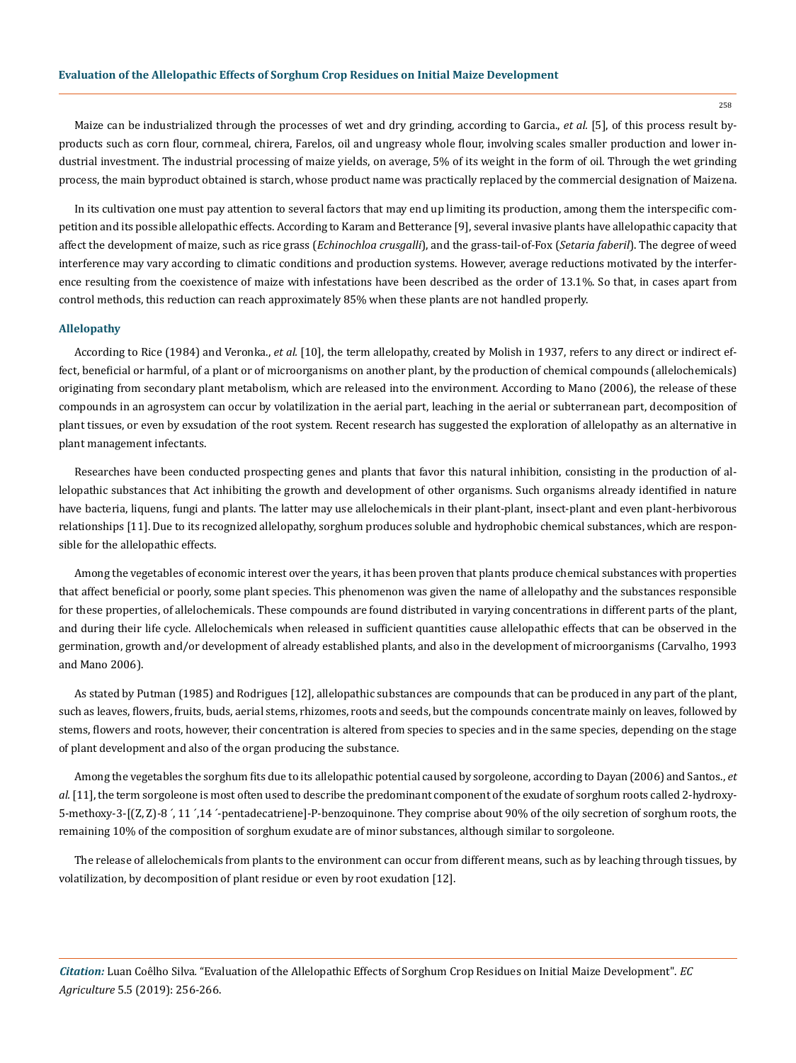Maize can be industrialized through the processes of wet and dry grinding, according to Garcia., *et al.* [5], of this process result byproducts such as corn flour, cornmeal, chirera, Farelos, oil and ungreasy whole flour, involving scales smaller production and lower industrial investment. The industrial processing of maize yields, on average, 5% of its weight in the form of oil. Through the wet grinding process, the main byproduct obtained is starch, whose product name was practically replaced by the commercial designation of Maizena.

In its cultivation one must pay attention to several factors that may end up limiting its production, among them the interspecific competition and its possible allelopathic effects. According to Karam and Betterance [9], several invasive plants have allelopathic capacity that affect the development of maize, such as rice grass (*Echinochloa crusgalli*), and the grass-tail-of-Fox (*Setaria faberil*). The degree of weed interference may vary according to climatic conditions and production systems. However, average reductions motivated by the interference resulting from the coexistence of maize with infestations have been described as the order of 13.1%. So that, in cases apart from control methods, this reduction can reach approximately 85% when these plants are not handled properly.

## **Allelopathy**

According to Rice (1984) and Veronka., *et al.* [10], the term allelopathy, created by Molish in 1937, refers to any direct or indirect effect, beneficial or harmful, of a plant or of microorganisms on another plant, by the production of chemical compounds (allelochemicals) originating from secondary plant metabolism, which are released into the environment. According to Mano (2006), the release of these compounds in an agrosystem can occur by volatilization in the aerial part, leaching in the aerial or subterranean part, decomposition of plant tissues, or even by exsudation of the root system. Recent research has suggested the exploration of allelopathy as an alternative in plant management infectants.

Researches have been conducted prospecting genes and plants that favor this natural inhibition, consisting in the production of allelopathic substances that Act inhibiting the growth and development of other organisms. Such organisms already identified in nature have bacteria, liquens, fungi and plants. The latter may use allelochemicals in their plant-plant, insect-plant and even plant-herbivorous relationships [11]. Due to its recognized allelopathy, sorghum produces soluble and hydrophobic chemical substances, which are responsible for the allelopathic effects.

Among the vegetables of economic interest over the years, it has been proven that plants produce chemical substances with properties that affect beneficial or poorly, some plant species. This phenomenon was given the name of allelopathy and the substances responsible for these properties, of allelochemicals. These compounds are found distributed in varying concentrations in different parts of the plant, and during their life cycle. Allelochemicals when released in sufficient quantities cause allelopathic effects that can be observed in the germination, growth and/or development of already established plants, and also in the development of microorganisms (Carvalho, 1993 and Mano 2006).

As stated by Putman (1985) and Rodrigues [12], allelopathic substances are compounds that can be produced in any part of the plant, such as leaves, flowers, fruits, buds, aerial stems, rhizomes, roots and seeds, but the compounds concentrate mainly on leaves, followed by stems, flowers and roots, however, their concentration is altered from species to species and in the same species, depending on the stage of plant development and also of the organ producing the substance.

Among the vegetables the sorghum fits due to its allelopathic potential caused by sorgoleone, according to Dayan (2006) and Santos., *et al.* [11], the term sorgoleone is most often used to describe the predominant component of the exudate of sorghum roots called 2-hydroxy-5-methoxy-3-[(Z, Z)-8 ´, 11 ´,14 ´-pentadecatriene]-P-benzoquinone. They comprise about 90% of the oily secretion of sorghum roots, the remaining 10% of the composition of sorghum exudate are of minor substances, although similar to sorgoleone.

The release of allelochemicals from plants to the environment can occur from different means, such as by leaching through tissues, by volatilization, by decomposition of plant residue or even by root exudation [12].

*Citation:* Luan Coêlho Silva*.* "Evaluation of the Allelopathic Effects of Sorghum Crop Residues on Initial Maize Development". *EC Agriculture* 5.5 (2019): 256-266.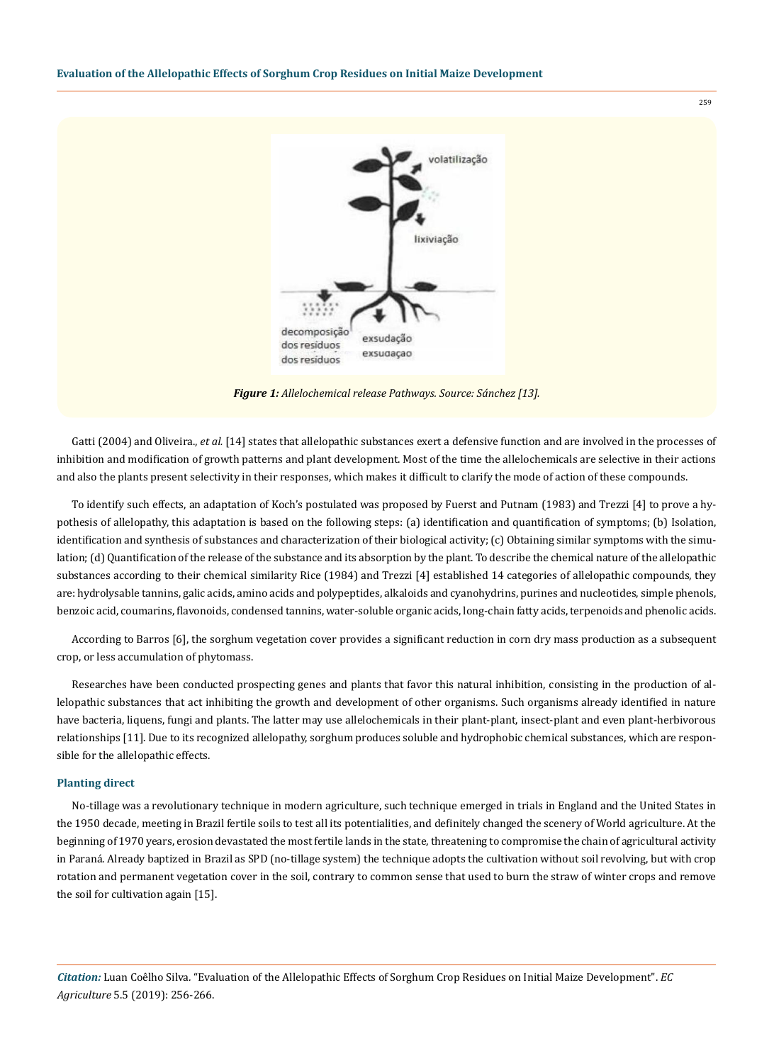

*Figure 1: Allelochemical release Pathways. Source: Sánchez [13].*

Gatti (2004) and Oliveira., *et al.* [14] states that allelopathic substances exert a defensive function and are involved in the processes of inhibition and modification of growth patterns and plant development. Most of the time the allelochemicals are selective in their actions and also the plants present selectivity in their responses, which makes it difficult to clarify the mode of action of these compounds.

To identify such effects, an adaptation of Koch's postulated was proposed by Fuerst and Putnam (1983) and Trezzi [4] to prove a hypothesis of allelopathy, this adaptation is based on the following steps: (a) identification and quantification of symptoms; (b) Isolation, identification and synthesis of substances and characterization of their biological activity; (c) Obtaining similar symptoms with the simulation; (d) Quantification of the release of the substance and its absorption by the plant. To describe the chemical nature of the allelopathic substances according to their chemical similarity Rice (1984) and Trezzi [4] established 14 categories of allelopathic compounds, they are: hydrolysable tannins, galic acids, amino acids and polypeptides, alkaloids and cyanohydrins, purines and nucleotides, simple phenols, benzoic acid, coumarins, flavonoids, condensed tannins, water-soluble organic acids, long-chain fatty acids, terpenoids and phenolic acids.

According to Barros [6], the sorghum vegetation cover provides a significant reduction in corn dry mass production as a subsequent crop, or less accumulation of phytomass.

Researches have been conducted prospecting genes and plants that favor this natural inhibition, consisting in the production of allelopathic substances that act inhibiting the growth and development of other organisms. Such organisms already identified in nature have bacteria, liquens, fungi and plants. The latter may use allelochemicals in their plant-plant, insect-plant and even plant-herbivorous relationships [11]. Due to its recognized allelopathy, sorghum produces soluble and hydrophobic chemical substances, which are responsible for the allelopathic effects.

## **Planting direct**

No-tillage was a revolutionary technique in modern agriculture, such technique emerged in trials in England and the United States in the 1950 decade, meeting in Brazil fertile soils to test all its potentialities, and definitely changed the scenery of World agriculture. At the beginning of 1970 years, erosion devastated the most fertile lands in the state, threatening to compromise the chain of agricultural activity in Paraná. Already baptized in Brazil as SPD (no-tillage system) the technique adopts the cultivation without soil revolving, but with crop rotation and permanent vegetation cover in the soil, contrary to common sense that used to burn the straw of winter crops and remove the soil for cultivation again [15].

*Citation:* Luan Coêlho Silva*.* "Evaluation of the Allelopathic Effects of Sorghum Crop Residues on Initial Maize Development". *EC Agriculture* 5.5 (2019): 256-266.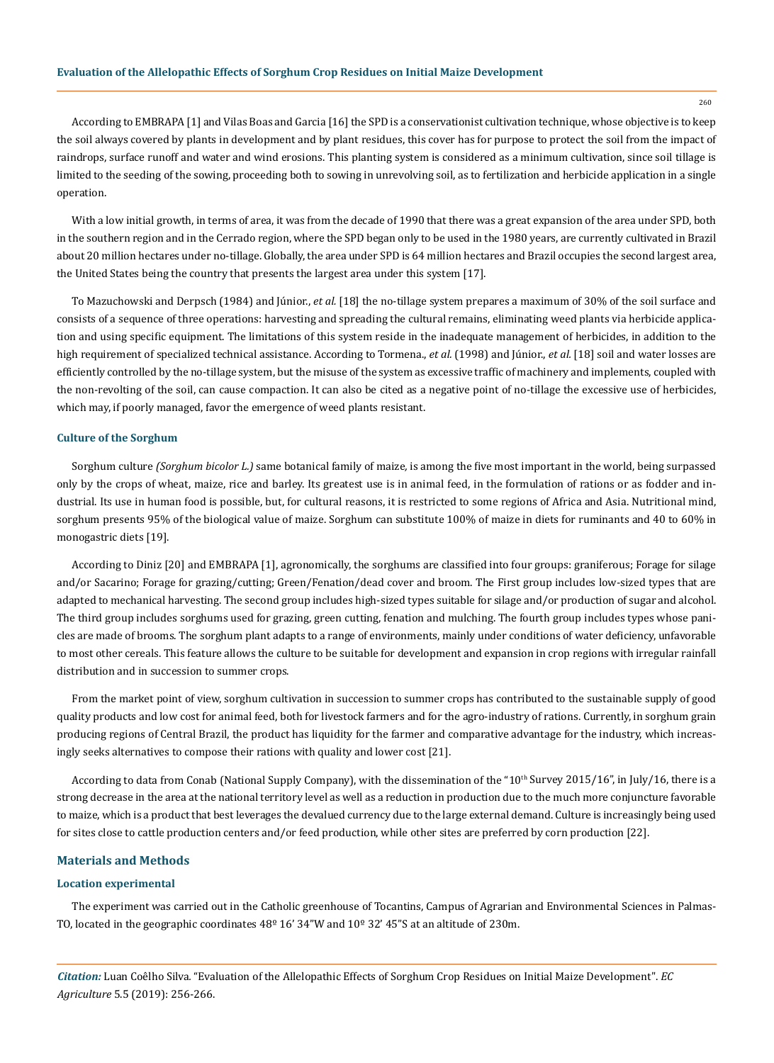According to EMBRAPA [1] and Vilas Boas and Garcia [16] the SPD is a conservationist cultivation technique, whose objective is to keep the soil always covered by plants in development and by plant residues, this cover has for purpose to protect the soil from the impact of raindrops, surface runoff and water and wind erosions. This planting system is considered as a minimum cultivation, since soil tillage is limited to the seeding of the sowing, proceeding both to sowing in unrevolving soil, as to fertilization and herbicide application in a single operation.

With a low initial growth, in terms of area, it was from the decade of 1990 that there was a great expansion of the area under SPD, both in the southern region and in the Cerrado region, where the SPD began only to be used in the 1980 years, are currently cultivated in Brazil about 20 million hectares under no-tillage. Globally, the area under SPD is 64 million hectares and Brazil occupies the second largest area, the United States being the country that presents the largest area under this system [17].

To Mazuchowski and Derpsch (1984) and Júnior., *et al.* [18] the no-tillage system prepares a maximum of 30% of the soil surface and consists of a sequence of three operations: harvesting and spreading the cultural remains, eliminating weed plants via herbicide application and using specific equipment. The limitations of this system reside in the inadequate management of herbicides, in addition to the high requirement of specialized technical assistance. According to Tormena., *et al.* (1998) and Júnior., *et al.* [18] soil and water losses are efficiently controlled by the no-tillage system, but the misuse of the system as excessive traffic of machinery and implements, coupled with the non-revolting of the soil, can cause compaction. It can also be cited as a negative point of no-tillage the excessive use of herbicides, which may, if poorly managed, favor the emergence of weed plants resistant.

#### **Culture of the Sorghum**

Sorghum culture *(Sorghum bicolor L.)* same botanical family of maize*,* is among the five most important in the world, being surpassed only by the crops of wheat, maize, rice and barley. Its greatest use is in animal feed, in the formulation of rations or as fodder and industrial. Its use in human food is possible, but, for cultural reasons, it is restricted to some regions of Africa and Asia. Nutritional mind, sorghum presents 95% of the biological value of maize. Sorghum can substitute 100% of maize in diets for ruminants and 40 to 60% in monogastric diets [19].

According to Diniz [20] and EMBRAPA [1], agronomically, the sorghums are classified into four groups: graniferous; Forage for silage and/or Sacarino; Forage for grazing/cutting; Green/Fenation/dead cover and broom. The First group includes low-sized types that are adapted to mechanical harvesting. The second group includes high-sized types suitable for silage and/or production of sugar and alcohol. The third group includes sorghums used for grazing, green cutting, fenation and mulching. The fourth group includes types whose panicles are made of brooms. The sorghum plant adapts to a range of environments, mainly under conditions of water deficiency, unfavorable to most other cereals. This feature allows the culture to be suitable for development and expansion in crop regions with irregular rainfall distribution and in succession to summer crops.

From the market point of view, sorghum cultivation in succession to summer crops has contributed to the sustainable supply of good quality products and low cost for animal feed, both for livestock farmers and for the agro-industry of rations. Currently, in sorghum grain producing regions of Central Brazil, the product has liquidity for the farmer and comparative advantage for the industry, which increasingly seeks alternatives to compose their rations with quality and lower cost [21].

According to data from Conab (National Supply Company), with the dissemination of the " $10<sup>th</sup>$  Survey 2015/16", in July/16, there is a strong decrease in the area at the national territory level as well as a reduction in production due to the much more conjuncture favorable to maize, which is a product that best leverages the devalued currency due to the large external demand. Culture is increasingly being used for sites close to cattle production centers and/or feed production, while other sites are preferred by corn production [22].

## **Materials and Methods**

## **Location experimental**

The experiment was carried out in the Catholic greenhouse of Tocantins, Campus of Agrarian and Environmental Sciences in Palmas-TO, located in the geographic coordinates 48º 16' 34"W and 10º 32' 45"S at an altitude of 230m.

*Citation:* Luan Coêlho Silva*.* "Evaluation of the Allelopathic Effects of Sorghum Crop Residues on Initial Maize Development". *EC Agriculture* 5.5 (2019): 256-266.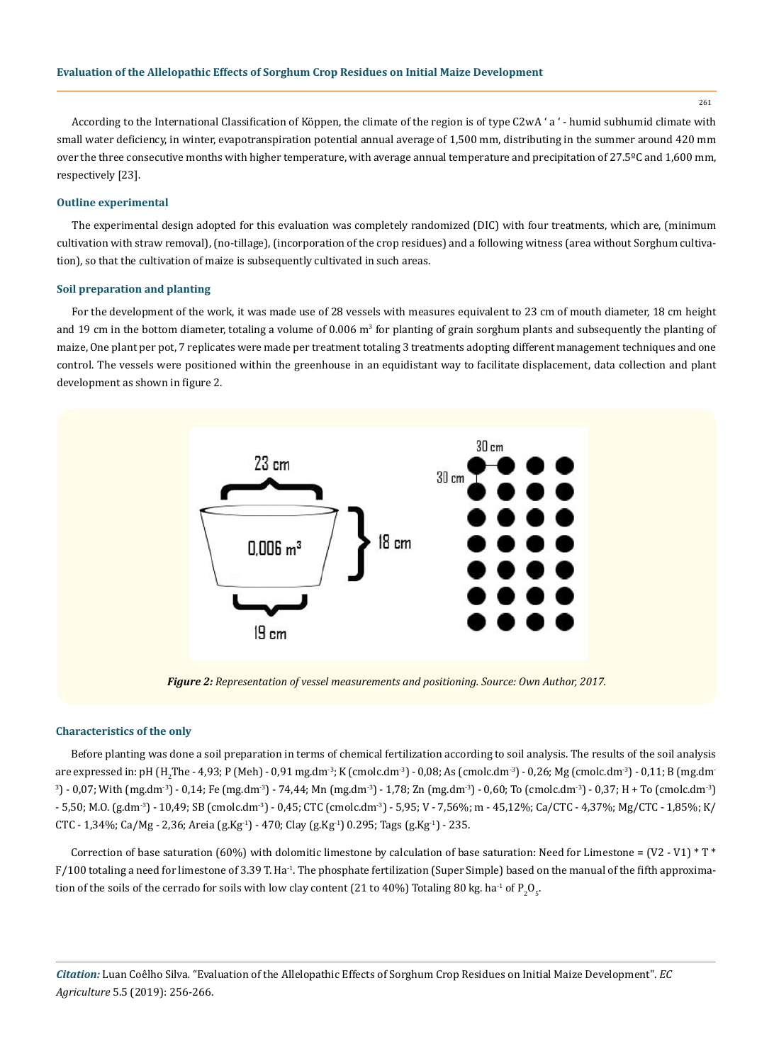261

According to the International Classification of Köppen, the climate of the region is of type C2wA ' a ' - humid subhumid climate with small water deficiency, in winter, evapotranspiration potential annual average of 1,500 mm, distributing in the summer around 420 mm over the three consecutive months with higher temperature, with average annual temperature and precipitation of 27.5ºC and 1,600 mm, respectively [23].

#### **Outline experimental**

The experimental design adopted for this evaluation was completely randomized (DIC) with four treatments, which are, (minimum cultivation with straw removal), (no-tillage), (incorporation of the crop residues) and a following witness (area without Sorghum cultivation), so that the cultivation of maize is subsequently cultivated in such areas.

#### **Soil preparation and planting**

For the development of the work, it was made use of 28 vessels with measures equivalent to 23 cm of mouth diameter, 18 cm height and 19 cm in the bottom diameter, totaling a volume of 0.006 m<sup>3</sup> for planting of grain sorghum plants and subsequently the planting of maize, One plant per pot, 7 replicates were made per treatment totaling 3 treatments adopting different management techniques and one control. The vessels were positioned within the greenhouse in an equidistant way to facilitate displacement, data collection and plant development as shown in figure 2.



*Figure 2: Representation of vessel measurements and positioning. Source: Own Author, 2017.*

#### **Characteristics of the only**

Before planting was done a soil preparation in terms of chemical fertilization according to soil analysis. The results of the soil analysis are expressed in: pH (H<sub>2</sub>The - 4,93; P (Meh) - 0,91 mg.dm<sup>-3</sup>; K (cmolc.dm<sup>-3</sup>) - 0,08; As (cmolc.dm<sup>-3</sup>) - 0,26; Mg (cmolc.dm<sup>-3</sup>) - 0,11; B (mg.dm<sup>-</sup>  $3)$  - 0,07; With (mg.dm<sup>-3</sup>) - 0,14; Fe (mg.dm<sup>-3</sup>) - 74,44; Mn (mg.dm<sup>-3</sup>) - 1,78; Zn (mg.dm<sup>-3</sup>) - 0,60; To (cmolc.dm<sup>-3</sup>) - 0,37; H + To (cmolc.dm<sup>-3</sup>) - 5,50; M.O. (g.dm-3) - 10,49; SB (cmolc.dm-3) - 0,45; CTC (cmolc.dm-3) - 5,95; V - 7,56%; m - 45,12%; Ca/CTC - 4,37%; Mg/CTC - 1,85%; K/ CTC - 1,34%; Ca/Mg - 2,36; Areia (g.Kg<sup>-1</sup>) - 470; Clay (g.Kg<sup>-1</sup>) 0.295; Tags (g.Kg<sup>-1</sup>) - 235.

Correction of base saturation (60%) with dolomitic limestone by calculation of base saturation: Need for Limestone =  $(V2 - V1) * T *$  $F/100$  totaling a need for limestone of 3.39 T. Ha<sup>-1</sup>. The phosphate fertilization (Super Simple) based on the manual of the fifth approximation of the soils of the cerrado for soils with low clay content (21 to 40%) Totaling 80 kg. ha $^{\text{-1}}$  of P  $_{\text{2}}\text{O}_{\text{5}}$ .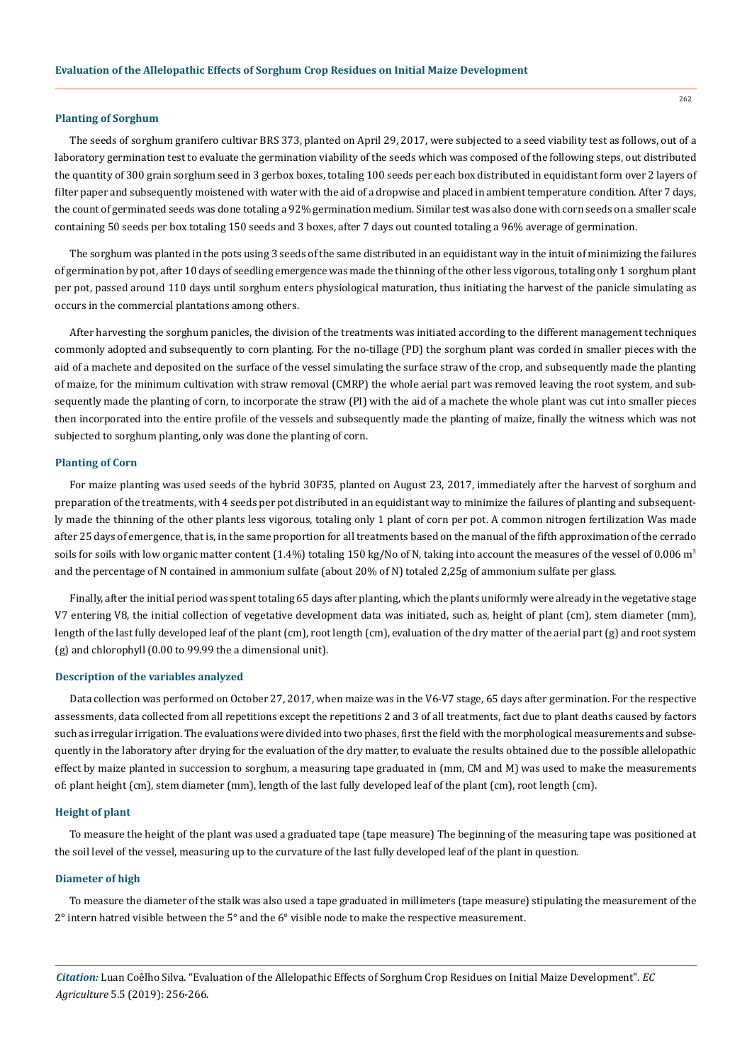### **Planting of Sorghum**

The seeds of sorghum granifero cultivar BRS 373, planted on April 29, 2017, were subjected to a seed viability test as follows, out of a laboratory germination test to evaluate the germination viability of the seeds which was composed of the following steps, out distributed the quantity of 300 grain sorghum seed in 3 gerbox boxes, totaling 100 seeds per each box distributed in equidistant form over 2 layers of filter paper and subsequently moistened with water with the aid of a dropwise and placed in ambient temperature condition. After 7 days, the count of germinated seeds was done totaling a 92% germination medium. Similar test was also done with corn seeds on a smaller scale containing 50 seeds per box totaling 150 seeds and 3 boxes, after 7 days out counted totaling a 96% average of germination.

The sorghum was planted in the pots using 3 seeds of the same distributed in an equidistant way in the intuit of minimizing the failures of germination by pot, after 10 days of seedling emergence was made the thinning of the other less vigorous, totaling only 1 sorghum plant per pot, passed around 110 days until sorghum enters physiological maturation, thus initiating the harvest of the panicle simulating as occurs in the commercial plantations among others.

After harvesting the sorghum panicles, the division of the treatments was initiated according to the different management techniques commonly adopted and subsequently to corn planting. For the no-tillage (PD) the sorghum plant was corded in smaller pieces with the aid of a machete and deposited on the surface of the vessel simulating the surface straw of the crop, and subsequently made the planting of maize, for the minimum cultivation with straw removal (CMRP) the whole aerial part was removed leaving the root system, and subsequently made the planting of corn, to incorporate the straw (PI) with the aid of a machete the whole plant was cut into smaller pieces then incorporated into the entire profile of the vessels and subsequently made the planting of maize, finally the witness which was not subjected to sorghum planting, only was done the planting of corn.

#### **Planting of Corn**

For maize planting was used seeds of the hybrid 30F35, planted on August 23, 2017, immediately after the harvest of sorghum and preparation of the treatments, with 4 seeds per pot distributed in an equidistant way to minimize the failures of planting and subsequently made the thinning of the other plants less vigorous, totaling only 1 plant of corn per pot. A common nitrogen fertilization Was made after 25 days of emergence, that is, in the same proportion for all treatments based on the manual of the fifth approximation of the cerrado soils for soils with low organic matter content (1.4%) totaling 150 kg/No of N, taking into account the measures of the vessel of 0.006 m<sup>3</sup> and the percentage of N contained in ammonium sulfate (about 20% of N) totaled 2,25g of ammonium sulfate per glass.

Finally, after the initial period was spent totaling 65 days after planting, which the plants uniformly were already in the vegetative stage V7 entering V8, the initial collection of vegetative development data was initiated, such as, height of plant (cm), stem diameter (mm), length of the last fully developed leaf of the plant (cm), root length (cm), evaluation of the dry matter of the aerial part (g) and root system (g) and chlorophyll (0.00 to 99.99 the a dimensional unit).

# **Description of the variables analyzed**

Data collection was performed on October 27, 2017, when maize was in the V6-V7 stage, 65 days after germination. For the respective assessments, data collected from all repetitions except the repetitions 2 and 3 of all treatments, fact due to plant deaths caused by factors such as irregular irrigation. The evaluations were divided into two phases, first the field with the morphological measurements and subsequently in the laboratory after drying for the evaluation of the dry matter, to evaluate the results obtained due to the possible allelopathic effect by maize planted in succession to sorghum, a measuring tape graduated in (mm, CM and M) was used to make the measurements of: plant height (cm), stem diameter (mm), length of the last fully developed leaf of the plant (cm), root length (cm).

### **Height of plant**

To measure the height of the plant was used a graduated tape (tape measure) The beginning of the measuring tape was positioned at the soil level of the vessel, measuring up to the curvature of the last fully developed leaf of the plant in question.

### **Diameter of high**

To measure the diameter of the stalk was also used a tape graduated in millimeters (tape measure) stipulating the measurement of the  $2^{\circ}$  intern hatred visible between the  $5^{\circ}$  and the  $6^{\circ}$  visible node to make the respective measurement.

*Citation:* Luan Coêlho Silva*.* "Evaluation of the Allelopathic Effects of Sorghum Crop Residues on Initial Maize Development". *EC Agriculture* 5.5 (2019): 256-266.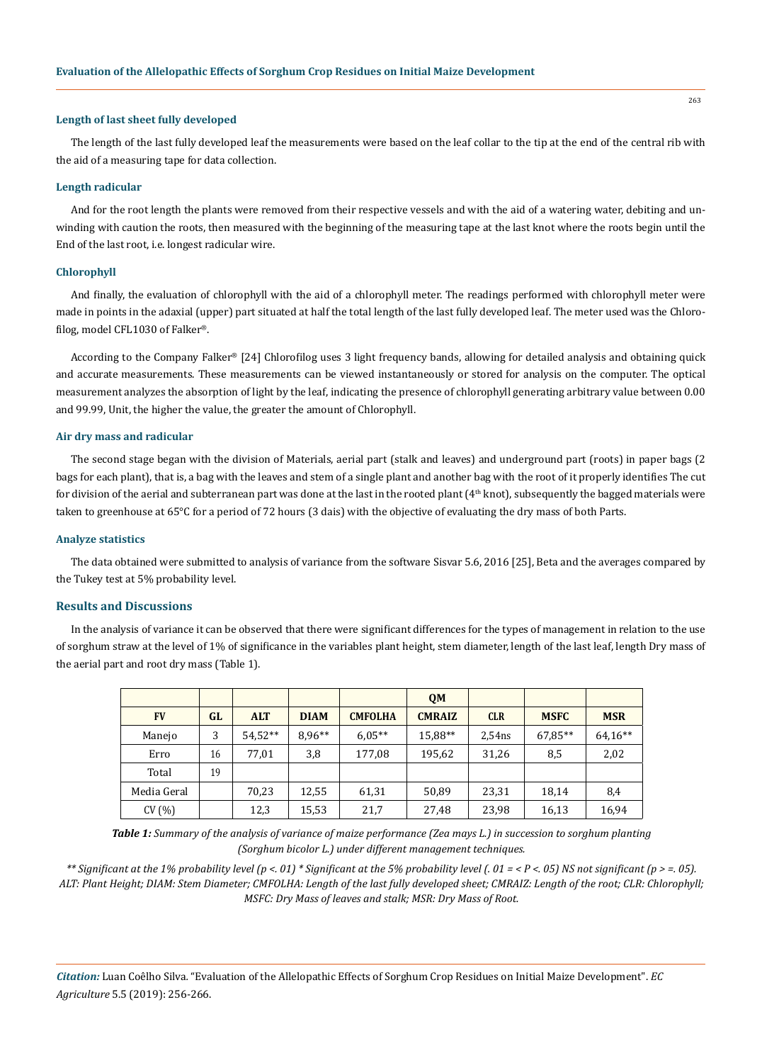#### **Length of last sheet fully developed**

The length of the last fully developed leaf the measurements were based on the leaf collar to the tip at the end of the central rib with the aid of a measuring tape for data collection.

#### **Length radicular**

And for the root length the plants were removed from their respective vessels and with the aid of a watering water, debiting and unwinding with caution the roots, then measured with the beginning of the measuring tape at the last knot where the roots begin until the End of the last root, i.e. longest radicular wire.

## **Chlorophyll**

And finally, the evaluation of chlorophyll with the aid of a chlorophyll meter. The readings performed with chlorophyll meter were made in points in the adaxial (upper) part situated at half the total length of the last fully developed leaf. The meter used was the Chlorofilog, model CFL1030 of Falker®.

According to the Company Falker® [24] Chlorofilog uses 3 light frequency bands, allowing for detailed analysis and obtaining quick and accurate measurements. These measurements can be viewed instantaneously or stored for analysis on the computer. The optical measurement analyzes the absorption of light by the leaf, indicating the presence of chlorophyll generating arbitrary value between 0.00 and 99.99, Unit, the higher the value, the greater the amount of Chlorophyll.

## **Air dry mass and radicular**

The second stage began with the division of Materials, aerial part (stalk and leaves) and underground part (roots) in paper bags (2 bags for each plant), that is, a bag with the leaves and stem of a single plant and another bag with the root of it properly identifies The cut for division of the aerial and subterranean part was done at the last in the rooted plant  $(4<sup>th</sup> knot)$ , subsequently the bagged materials were taken to greenhouse at 65°C for a period of 72 hours (3 dais) with the objective of evaluating the dry mass of both Parts.

## **Analyze statistics**

The data obtained were submitted to analysis of variance from the software Sisvar 5.6, 2016 [25], Beta and the averages compared by the Tukey test at 5% probability level.

# **Results and Discussions**

In the analysis of variance it can be observed that there were significant differences for the types of management in relation to the use of sorghum straw at the level of 1% of significance in the variables plant height, stem diameter, length of the last leaf, length Dry mass of the aerial part and root dry mass (Table 1).

|             |    |            |             |                | <b>QM</b>     |            |             |            |
|-------------|----|------------|-------------|----------------|---------------|------------|-------------|------------|
| <b>FV</b>   | GL | <b>ALT</b> | <b>DIAM</b> | <b>CMFOLHA</b> | <b>CMRAIZ</b> | <b>CLR</b> | <b>MSFC</b> | <b>MSR</b> |
| Manejo      | 3  | $54.52**$  | $8.96**$    | $6.05**$       | 15,88**       | 2,54ns     | 67,85**     | 64,16**    |
| Erro        | 16 | 77,01      | 3,8         | 177,08         | 195,62        | 31,26      | 8,5         | 2,02       |
| Total       | 19 |            |             |                |               |            |             |            |
| Media Geral |    | 70,23      | 12,55       | 61,31          | 50,89         | 23,31      | 18,14       | 8,4        |
| CV(%)       |    | 12,3       | 15,53       | 21,7           | 27,48         | 23,98      | 16,13       | 16,94      |

*Table 1: Summary of the analysis of variance of maize performance (Zea mays L.) in succession to sorghum planting (Sorghum bicolor L.) under different management techniques.*

*\*\* Significant at the 1% probability level (p <. 01) \* Significant at the 5% probability level (. 01 = < P <. 05) NS not significant (p > =. 05). ALT: Plant Height; DIAM: Stem Diameter; CMFOLHA: Length of the last fully developed sheet; CMRAIZ: Length of the root; CLR: Chlorophyll; MSFC: Dry Mass of leaves and stalk; MSR: Dry Mass of Root.*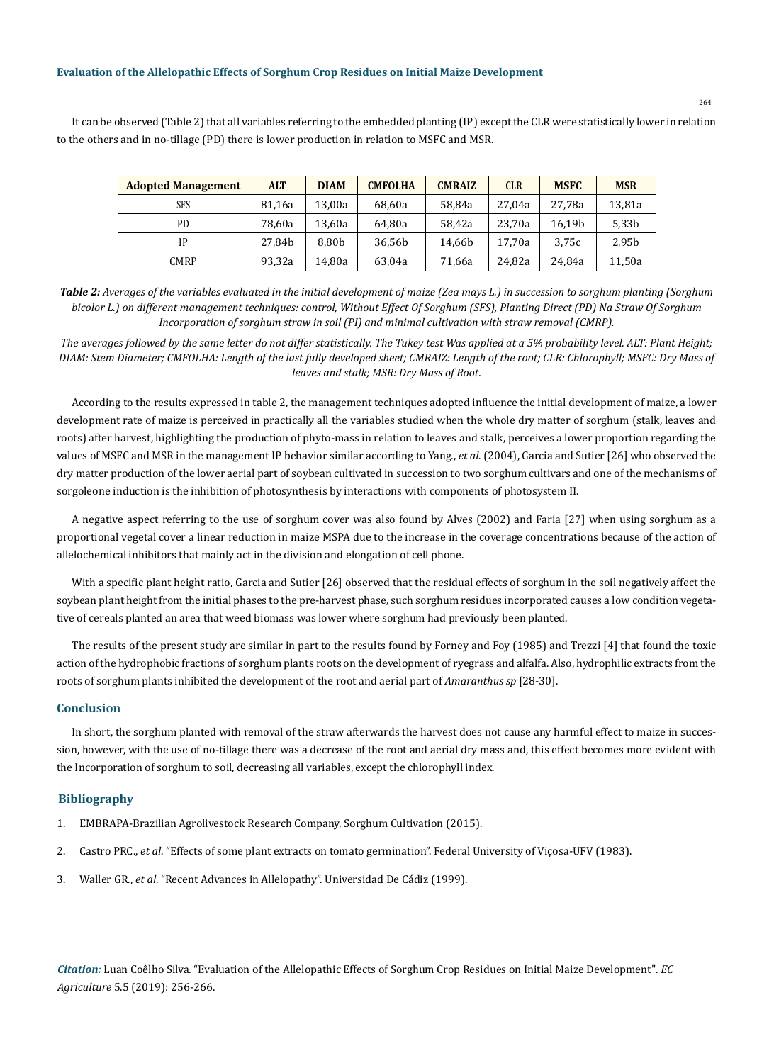It can be observed (Table 2) that all variables referring to the embedded planting (IP) except the CLR were statistically lower in relation to the others and in no-tillage (PD) there is lower production in relation to MSFC and MSR.

| <b>Adopted Management</b> | <b>ALT</b> | <b>DIAM</b> | <b>CMFOLHA</b> | <b>CMRAIZ</b> | <b>CLR</b> | <b>MSFC</b> | <b>MSR</b> |
|---------------------------|------------|-------------|----------------|---------------|------------|-------------|------------|
| SFS                       | 81,16a     | 13,00a      | 68,60a         | 58,84a        | 27.04a     | 27.78a      | 13,81a     |
| PD                        | 78.60a     | 13,60a      | 64.80a         | 58.42a        | 23.70a     | 16.19b      | 5,33b      |
| IP                        | 27.84b     | 8.80b       | 36.56b         | 14,66b        | 17.70a     | 3.75c       | 2,95b      |
| CMRP                      | 93,32a     | 14,80a      | 63,04a         | 71,66a        | 24.82a     | 24.84a      | 11,50a     |

*Table 2: Averages of the variables evaluated in the initial development of maize (Zea mays L.) in succession to sorghum planting (Sorghum bicolor L.) on different management techniques: control, Without Effect Of Sorghum (SFS), Planting Direct (PD) Na Straw Of Sorghum Incorporation of sorghum straw in soil (PI) and minimal cultivation with straw removal (CMRP).*

*The averages followed by the same letter do not differ statistically. The Tukey test Was applied at a 5% probability level. ALT: Plant Height; DIAM: Stem Diameter; CMFOLHA: Length of the last fully developed sheet; CMRAIZ: Length of the root; CLR: Chlorophyll; MSFC: Dry Mass of leaves and stalk; MSR: Dry Mass of Root.*

According to the results expressed in table 2, the management techniques adopted influence the initial development of maize, a lower development rate of maize is perceived in practically all the variables studied when the whole dry matter of sorghum (stalk, leaves and roots) after harvest, highlighting the production of phyto-mass in relation to leaves and stalk, perceives a lower proportion regarding the values of MSFC and MSR in the management IP behavior similar according to Yang., *et al.* (2004), Garcia and Sutier [26] who observed the dry matter production of the lower aerial part of soybean cultivated in succession to two sorghum cultivars and one of the mechanisms of sorgoleone induction is the inhibition of photosynthesis by interactions with components of photosystem II.

A negative aspect referring to the use of sorghum cover was also found by Alves (2002) and Faria [27] when using sorghum as a proportional vegetal cover a linear reduction in maize MSPA due to the increase in the coverage concentrations because of the action of allelochemical inhibitors that mainly act in the division and elongation of cell phone.

With a specific plant height ratio, Garcia and Sutier [26] observed that the residual effects of sorghum in the soil negatively affect the soybean plant height from the initial phases to the pre-harvest phase, such sorghum residues incorporated causes a low condition vegetative of cereals planted an area that weed biomass was lower where sorghum had previously been planted.

The results of the present study are similar in part to the results found by Forney and Foy (1985) and Trezzi [4] that found the toxic action of the hydrophobic fractions of sorghum plants roots on the development of ryegrass and alfalfa. Also, hydrophilic extracts from the roots of sorghum plants inhibited the development of the root and aerial part of *Amaranthus sp* [28-30].

## **Conclusion**

In short, the sorghum planted with removal of the straw afterwards the harvest does not cause any harmful effect to maize in succession, however, with the use of no-tillage there was a decrease of the root and aerial dry mass and, this effect becomes more evident with the Incorporation of sorghum to soil, decreasing all variables, except the chlorophyll index.

#### **Bibliography**

- 1. [EMBRAPA-Brazilian Agrolivestock Research Company, Sorghum Cultivation \(2015\).](https://www.spo.cnptia.embrapa.br/conteudo?p_p_lifecycle=0andp_p_id=conteudoportlet_WAR_sistemasdeproducaolf6_1ga1ceportletandp_p_col_count=1andp_p_col_id=column-2andp_p_state=normalandp_r_p_-76293187_sistemaProducaoId=8301andp_r_p_-996514994_topicoId=9201andp_p_mode=view)
- 2. Castro PRC., *et al*[. "Effects of some plant extracts on tomato germination". Federal University of Viçosa-UFV \(1983\).](http://www.conab.gov.br/OlalaCMS/uploads/arquivos/16_07_08_17_38_24_sorgojunho%202016.pdf)
- 3. Waller GR., *et al*. "Recent Advances in Allelopathy". Universidad De Cádiz (1999).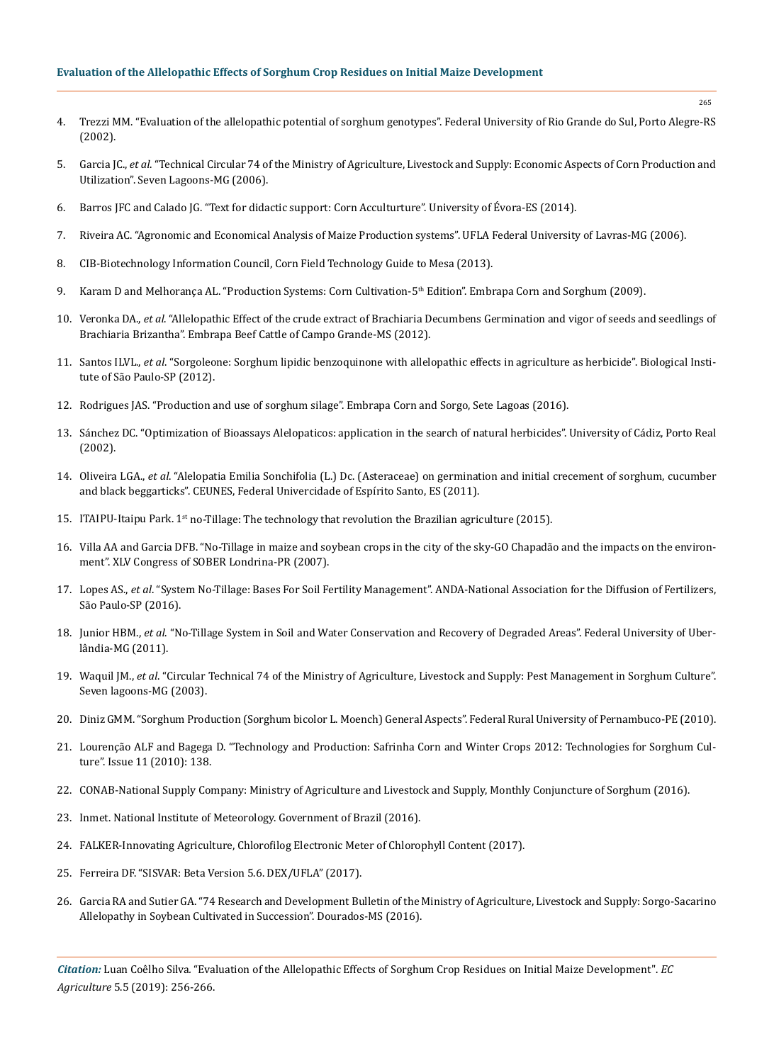# **Evaluation of the Allelopathic Effects of Sorghum Crop Residues on Initial Maize Development**

- 4. Trezzi MM. "Evaluation of the allelopathic potential of sorghum genotypes". Federal University of Rio Grande do Sul, Porto Alegre-RS (2002).
- 5. Garcia JC., *et al*. "Technical Circular 74 of the Ministry of Agriculture, Livestock and Supply: Economic Aspects of Corn Production and Utilization". Seven Lagoons-MG (2006).
- 6. Barros JFC and Calado JG. "Text for didactic support: Corn Acculturture". University of Évora-ES (2014).
- 7. Riveira AC. "Agronomic and Economical Analysis of Maize Production systems". UFLA Federal University of Lavras-MG (2006).
- 8. [CIB-Biotechnology Information Council, Corn Field Technology Guide to Mesa \(2013\).](http://www.cib.org.br/pdf/guia_do_milho_CIB.pdf)
- 9. Karam D and Melhorança AL. "Production Systems: Corn Cultivation-5<sup>th</sup> Edition". Embrapa Corn and Sorghum (2009).
- 10. Veronka DA., *et al*. "Allelopathic Effect of the crude extract of Brachiaria Decumbens Germination and vigor of seeds and seedlings of Brachiaria Brizantha". Embrapa Beef Cattle of Campo Grande-MS (2012).
- 11. Santos ILVL., *et al*. "Sorgoleone: Sorghum lipidic benzoquinone with allelopathic effects in agriculture as herbicide". Biological Institute of São Paulo-SP (2012).
- 12. Rodrigues JAS. "Production and use of sorghum silage". Embrapa Corn and Sorgo, Sete Lagoas (2016).
- 13. Sánchez DC. "Optimization of Bioassays Alelopaticos: application in the search of natural herbicides". University of Cádiz, Porto Real (2002).
- 14. Oliveira LGA., *et al*. "Alelopatia Emilia Sonchifolia (L.) Dc. (Asteraceae) on germination and initial crecement of sorghum, cucumber and black beggarticks". CEUNES, Federal Univercidade of Espírito Santo, ES (2011).
- 15. ITAIPU-Itaipu Park.  $1<sup>st</sup>$  no-Tillage: The technology that revolution the Brazilian agriculture (2015).
- 16. Villa AA and Garcia DFB. "No-Tillage in maize and soybean crops in the city of the sky-GO Chapadão and the impacts on the environment". XLV Congress of SOBER Londrina-PR (2007).
- 17. Lopes AS., *et al*. "System No-Tillage: Bases For Soil Fertility Management". ANDA-National Association for the Diffusion of Fertilizers, São Paulo-SP (2016).
- 18. Junior HBM., *et al*. "No-Tillage System in Soil and Water Conservation and Recovery of Degraded Areas". Federal University of Uberlândia-MG (2011).
- 19. Waquil JM., *et al*. "Circular Technical 74 of the Ministry of Agriculture, Livestock and Supply: Pest Management in Sorghum Culture". Seven lagoons-MG (2003).
- 20. Diniz GMM. "Sorghum Production (Sorghum bicolor L. Moench) General Aspects". Federal Rural University of Pernambuco-PE (2010).
- 21. Lourenção ALF and Bagega D. "Technology and Production: Safrinha Corn and Winter Crops 2012: Technologies for Sorghum Culture". Issue 11 (2010): 138.
- 22. CONAB-National Supply Company: Ministry of Agriculture and Livestock and Supply, Monthly Conjuncture of Sorghum (2016).
- 23. [Inmet. National Institute of Meteorology. Government of Brazil \(2016\).](http://www.inmet.gov.br/portal/)
- 24. [FALKER-Innovating Agriculture, Chlorofilog Electronic Meter of Chlorophyll Content \(2017\).](http://www.falker.com.br/produto-clorofilog-medidor-Chlorophyll.php)
- 25. [Ferreira DF. "SISVAR: Beta Version 5.6. DEX/UFLA" \(2017\).](http://www.dex.ufla.br/~danielff/programas/sisvar.html)
- 26. Garcia RA and Sutier GA. "74 Research and Development Bulletin of the Ministry of Agriculture, Livestock and Supply: Sorgo-Sacarino Allelopathy in Soybean Cultivated in Succession". Dourados-MS (2016).

*Citation:* Luan Coêlho Silva*.* "Evaluation of the Allelopathic Effects of Sorghum Crop Residues on Initial Maize Development". *EC Agriculture* 5.5 (2019): 256-266.